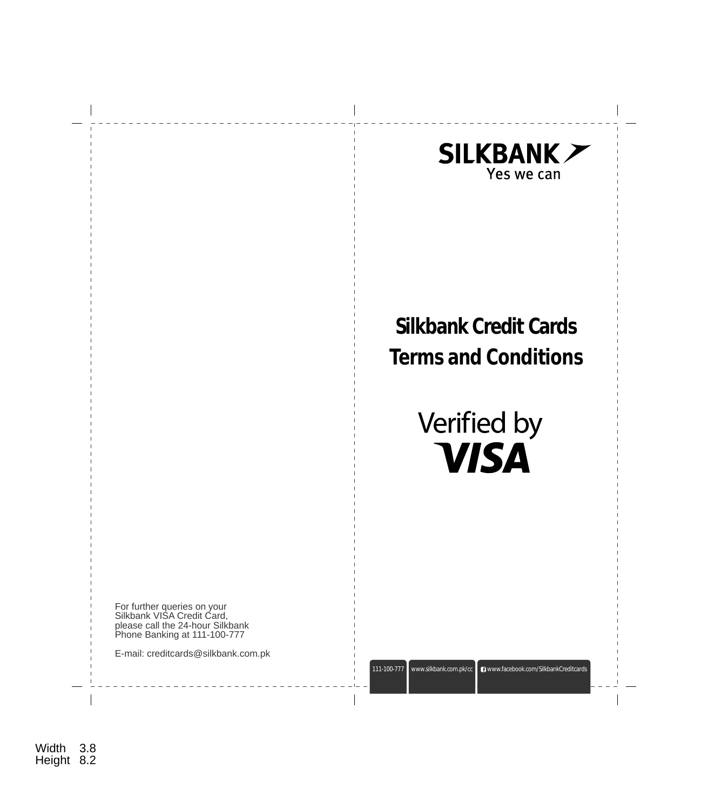

3.8 Width Height 8.2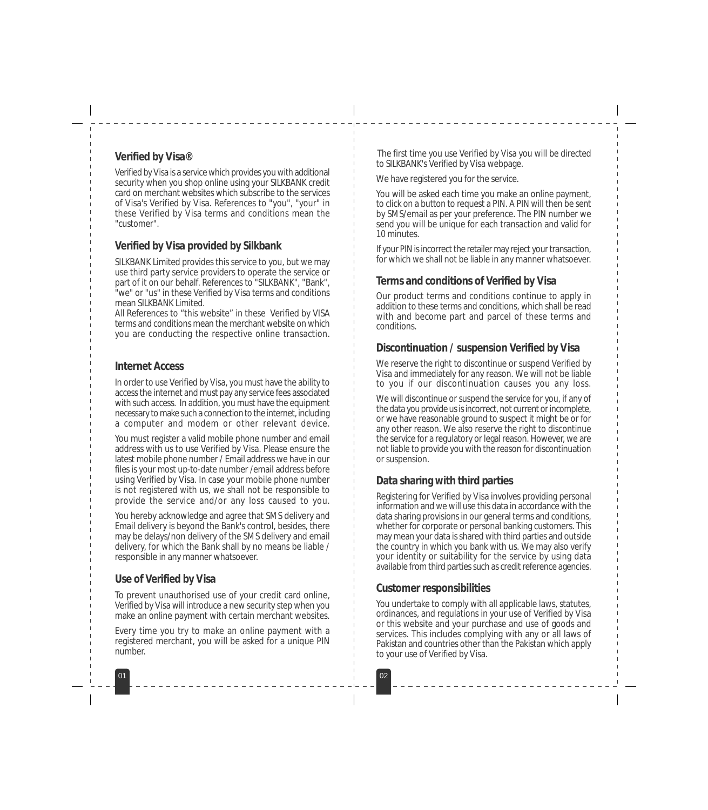## **Verified by Visa®**

Verified by Visa is a service which provides you with additional security when you shop online using your SILKBANK credit card on merchant websites which subscribe to the services of Visa's Verified by Visa. References to "you", "your" in these Verified by Visa terms and conditions mean the "customer".

# **Verified by Visa provided by Silkbank**

SILKBANK Limited provides this service to you, but we may use third party service providers to operate the service or part of it on our behalf. References to "SILKBANK", "Bank", "we" or "us" in these Verified by Visa terms and conditions mean SILKBANK Limited.

All References to "this website" in these Verified by VISA terms and conditions mean the merchant website on which you are conducting the respective online transaction.

### **Internet Access**

In order to use Verified by Visa, you must have the ability to access the internet and must pay any service fees associated with such access. In addition, you must have the equipment necessary to make such a connection to the internet, including a computer and modem or other relevant device.

You must register a valid mobile phone number and email address with us to use Verified by Visa. Please ensure the latest mobile phone number / Email address we have in our files is your most up-to-date number /email address before using Verified by Visa. In case your mobile phone number is not registered with us, we shall not be responsible to provide the service and/or any loss caused to you.

You hereby acknowledge and agree that SMS delivery and Email delivery is beyond the Bank's control, besides, there may be delays/non delivery of the SMS delivery and email delivery, for which the Bank shall by no means be liable / responsible in any manner whatsoever.

### **Use of Verified by Visa**

To prevent unauthorised use of your credit card online, Verified by Visa will introduce a new security step when you make an online payment with certain merchant websites.

Every time you try to make an online payment with a registered merchant, you will be asked for a unique PIN number.

01 02

The first time you use Verified by Visa you will be directed to SILKBANK's Verified by Visa webpage.

We have registered you for the service.

You will be asked each time you make an online payment, to click on a button to request a PIN. A PIN will then be sent by SMS/email as per your preference. The PIN number we send you will be unique for each transaction and valid for 10 minutes.

If your PIN is incorrect the retailer may reject your transaction, for which we shall not be liable in any manner whatsoever.

#### **Terms and conditions of Verified by Visa**

Our product terms and conditions continue to apply in addition to these terms and conditions, which shall be read with and become part and parcel of these terms and conditions.

#### **Discontinuation / suspension Verified by Visa**

We reserve the right to discontinue or suspend Verified by Visa and immediately for any reason. We will not be liable to you if our discontinuation causes you any loss.

We will discontinue or suspend the service for you, if any of the data you provide us is incorrect, not current or incomplete, or we have reasonable ground to suspect it might be or for any other reason. We also reserve the right to discontinue the service for a regulatory or legal reason. However, we are not liable to provide you with the reason for discontinuation or suspension.

# **Data sharing with third parties**

Registering for Verified by Visa involves providing personal information and we will use this data in accordance with the data sharing provisions in our general terms and conditions, whether for corporate or personal banking customers. This may mean your data is shared with third parties and outside the country in which you bank with us. We may also verify your identity or suitability for the service by using data available from third parties such as credit reference agencies.

### **Customer responsibilities**

You undertake to comply with all applicable laws, statutes, ordinances, and regulations in your use of Verified by Visa or this website and your purchase and use of goods and services. This includes complying with any or all laws of Pakistan and countries other than the Pakistan which apply to your use of Verified by Visa.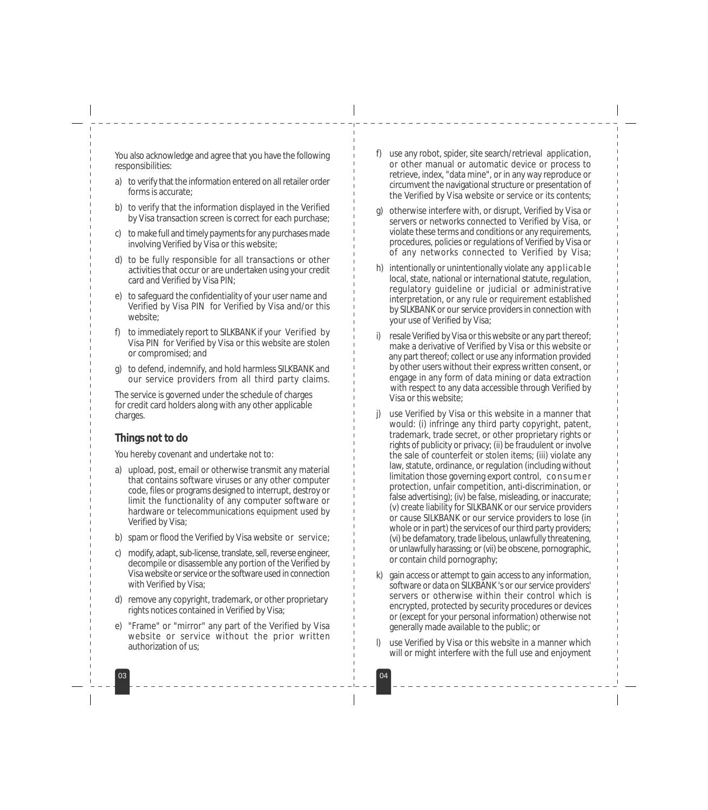You also acknowledge and agree that you have the following responsibilities:

- a) to verify that the information entered on all retailer order forms is accurate;
- b) to verify that the information displayed in the Verified by Visa transaction screen is correct for each purchase;
- c) to make full and timely payments for any purchases made involving Verified by Visa or this website;
- d) to be fully responsible for all transactions or other activities that occur or are undertaken using your credit card and Verified by Visa PIN;
- e) to safeguard the confidentiality of your user name and Verified by Visa PIN for Verified by Visa and/or this website;
- f) to immediately report to SILKBANK if your Verified by Visa PIN for Verified by Visa or this website are stolen or compromised; and
- g) to defend, indemnify, and hold harmless SILKBANK and our service providers from all third party claims.

The service is governed under the schedule of charges for credit card holders along with any other applicable charges.

### **Things not to do**

You hereby covenant and undertake not to:

- a) upload, post, email or otherwise transmit any material that contains software viruses or any other computer code, files or programs designed to interrupt, destroy or limit the functionality of any computer software or hardware or telecommunications equipment used by Verified by Visa;
- b) spam or flood the Verified by Visa website or service;
- c) modify, adapt, sub-license, translate, sell, reverse engineer, decompile or disassemble any portion of the Verified by Visa website or service or the software used in connection with Verified by Visa;
- d) remove any copyright, trademark, or other proprietary rights notices contained in Verified by Visa;
- e) "Frame" or "mirror" any part of the Verified by Visa website or service without the prior written authorization of us;

03 03 04

- f) use any robot, spider, site search/retrieval application, or other manual or automatic device or process to retrieve, index, "data mine", or in any way reproduce or circumvent the navigational structure or presentation of the Verified by Visa website or service or its contents;
- g) otherwise interfere with, or disrupt, Verified by Visa or servers or networks connected to Verified by Visa, or violate these terms and conditions or any requirements, procedures, policies or regulations of Verified by Visa or of any networks connected to Verified by Visa;
- h) intentionally or unintentionally violate any applicable local, state, national or international statute, regulation, regulatory guideline or judicial or administrative interpretation, or any rule or requirement established by SILKBANK or our service providers in connection with your use of Verified by Visa;
- resale Verified by Visa or this website or any part thereof; make a derivative of Verified by Visa or this website or any part thereof; collect or use any information provided by other users without their express written consent, or engage in any form of data mining or data extraction with respect to any data accessible through Verified by Visa or this website;
- j) use Verified by Visa or this website in a manner that would: (i) infringe any third party copyright, patent, trademark, trade secret, or other proprietary rights or rights of publicity or privacy; (ii) be fraudulent or involve the sale of counterfeit or stolen items; (iii) violate any law, statute, ordinance, or regulation (including without limitation those governing export control, consumer protection, unfair competition, anti-discrimination, or false advertising); (iv) be false, misleading, or inaccurate; (v) create liability for SILKBANK or our service providers or cause SILKBANK or our service providers to lose (in whole or in part) the services of our third party providers; (vi) be defamatory, trade libelous, unlawfully threatening, or unlawfully harassing; or (vii) be obscene, pornographic, or contain child pornography;
- k) gain access or attempt to gain access to any information, software or data on SILKBANK 's or our service providers' servers or otherwise within their control which is encrypted, protected by security procedures or devices or (except for your personal information) otherwise not generally made available to the public; or
- use Verified by Visa or this website in a manner which will or might interfere with the full use and enjoyment